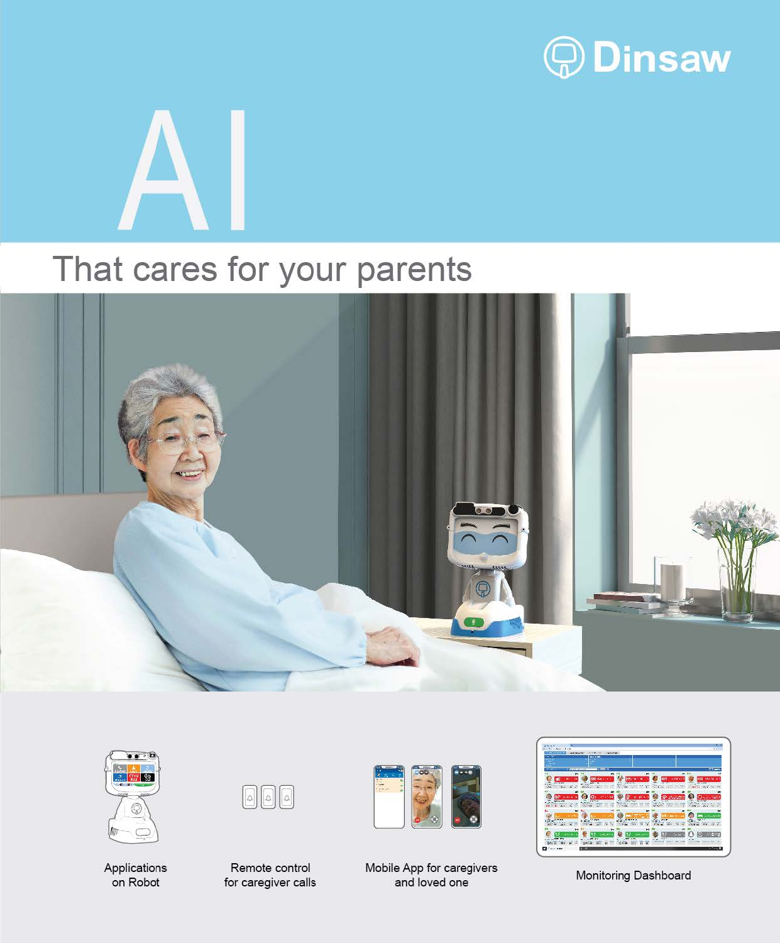

## That cares for your parents

 $\boldsymbol{\mathsf{A}}$ 





Applications on Robot



Remote control for caregiver calls



Mobile App for caregivers and loved one

|                                     | <b>MODER</b><br><b>Windows</b>                             | m                                                     |
|-------------------------------------|------------------------------------------------------------|-------------------------------------------------------|
|                                     | .                                                          |                                                       |
|                                     |                                                            |                                                       |
|                                     |                                                            |                                                       |
| 48                                  | <b>A MORE OF APP</b>                                       | ರಾಜ                                                   |
|                                     | ٠                                                          | ٠                                                     |
|                                     | ×.                                                         | яē<br>11.64<br>m.<br>---<br>                          |
| 120<br>in Links                     | <b>STAT</b><br>ë.<br>m<br>14.5<br>81.54<br>$\mathbf{r}$    | <b>SALE</b>                                           |
|                                     |                                                            |                                                       |
| A                                   | а.                                                         |                                                       |
|                                     | -<br>τ<br>Let a mail 1<br>÷                                | <b>STATE OF</b><br>$\overline{\phantom{a}}$<br>÷<br>٠ |
| <b>ANY</b><br>b.<br>$\overline{11}$ | able of the<br>120211-016<br>Text.<br><b>No diam</b><br>×. | <b>MADEL - 20</b><br>City of the fire                 |
|                                     | ××                                                         |                                                       |
|                                     |                                                            | an Masanthi Mila                                      |
|                                     | <b>PER</b>                                                 |                                                       |
| ×<br>$\bullet$<br>÷                 | m<br>٠                                                     | W.<br><b>Silk</b><br>$-20.7$                          |
|                                     | ы<br>∽                                                     | ы                                                     |
|                                     | œ                                                          | 垂                                                     |
|                                     | 12.00<br><b>STA</b>                                        | $100 - 100$<br>14.00<br><b><i>CONTRACTOR</i></b>      |
|                                     | m.<br>$\infty$ :<br>s:                                     | $\overline{11}$ $\overline{11}$                       |

Monitoring Dashboard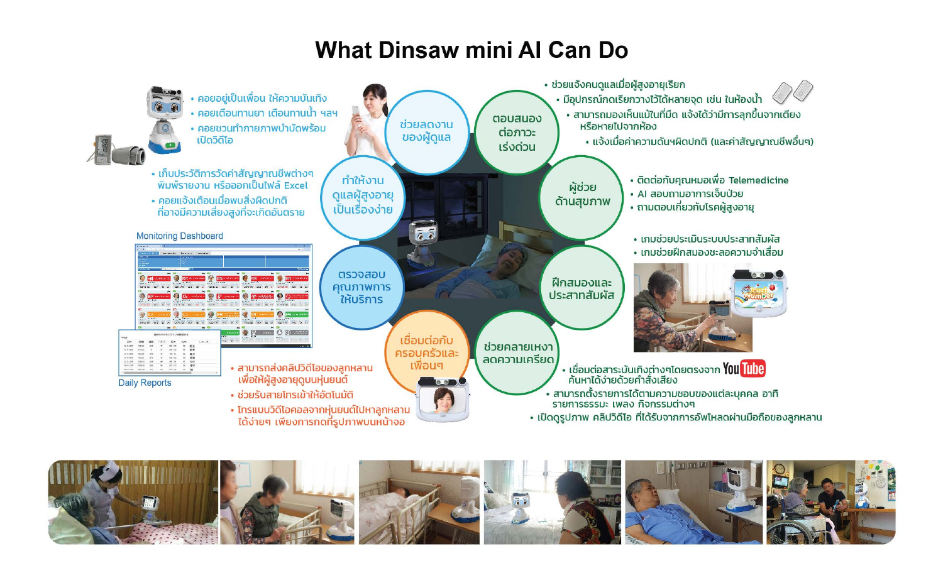## What Dinsaw mini Al Can Do